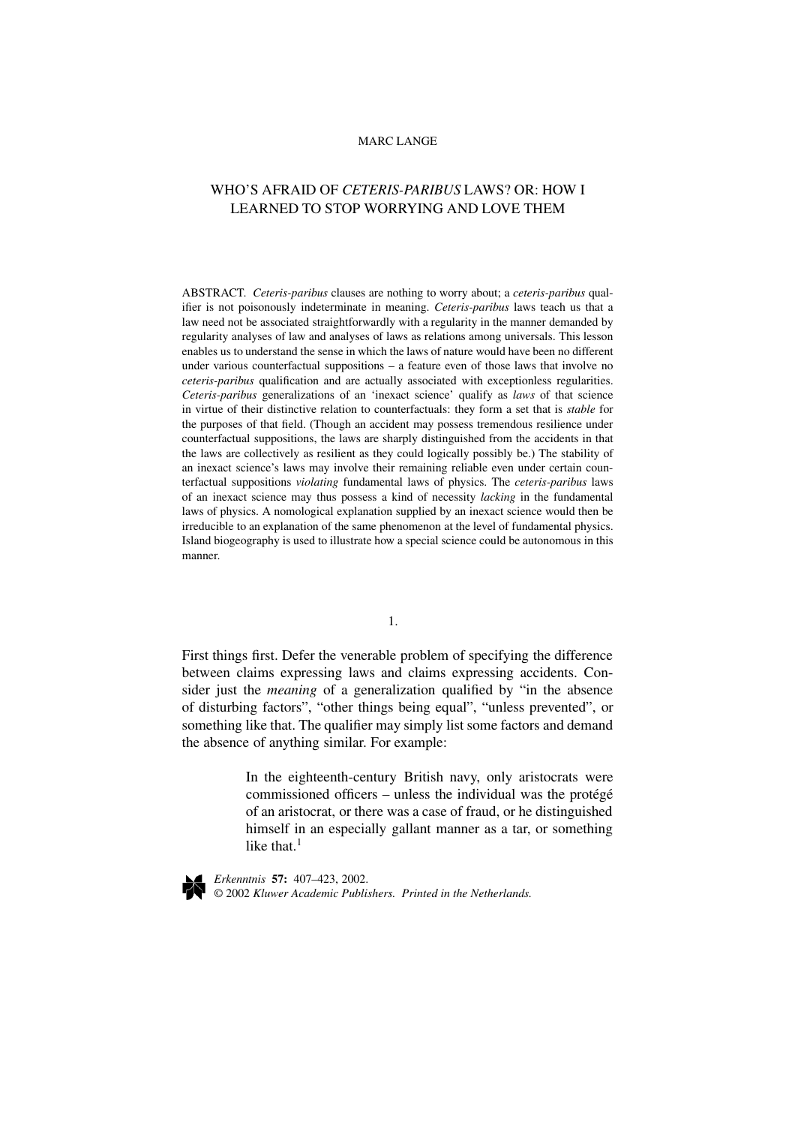# WHO'S AFRAID OF *CETERIS-PARIBUS* LAWS? OR: HOW I LEARNED TO STOP WORRYING AND LOVE THEM

ABSTRACT. *Ceteris-paribus* clauses are nothing to worry about; a *ceteris-paribus* qualifier is not poisonously indeterminate in meaning. *Ceteris-paribus* laws teach us that a law need not be associated straightforwardly with a regularity in the manner demanded by regularity analyses of law and analyses of laws as relations among universals. This lesson enables us to understand the sense in which the laws of nature would have been no different under various counterfactual suppositions – a feature even of those laws that involve no *ceteris-paribus* qualification and are actually associated with exceptionless regularities. *Ceteris-paribus* generalizations of an 'inexact science' qualify as *laws* of that science in virtue of their distinctive relation to counterfactuals: they form a set that is *stable* for the purposes of that field. (Though an accident may possess tremendous resilience under counterfactual suppositions, the laws are sharply distinguished from the accidents in that the laws are collectively as resilient as they could logically possibly be.) The stability of an inexact science's laws may involve their remaining reliable even under certain counterfactual suppositions *violating* fundamental laws of physics. The *ceteris-paribus* laws of an inexact science may thus possess a kind of necessity *lacking* in the fundamental laws of physics. A nomological explanation supplied by an inexact science would then be irreducible to an explanation of the same phenomenon at the level of fundamental physics. Island biogeography is used to illustrate how a special science could be autonomous in this manner.

1.

First things first. Defer the venerable problem of specifying the difference between claims expressing laws and claims expressing accidents. Consider just the *meaning* of a generalization qualified by "in the absence of disturbing factors", "other things being equal", "unless prevented", or something like that. The qualifier may simply list some factors and demand the absence of anything similar. For example:

> In the eighteenth-century British navy, only aristocrats were commissioned officers – unless the individual was the protégé of an aristocrat, or there was a case of fraud, or he distinguished himself in an especially gallant manner as a tar, or something like that. $<sup>1</sup>$ </sup>



*Erkenntnis* **57:** 407–423, 2002. © 2002 *Kluwer Academic Publishers. Printed in the Netherlands.*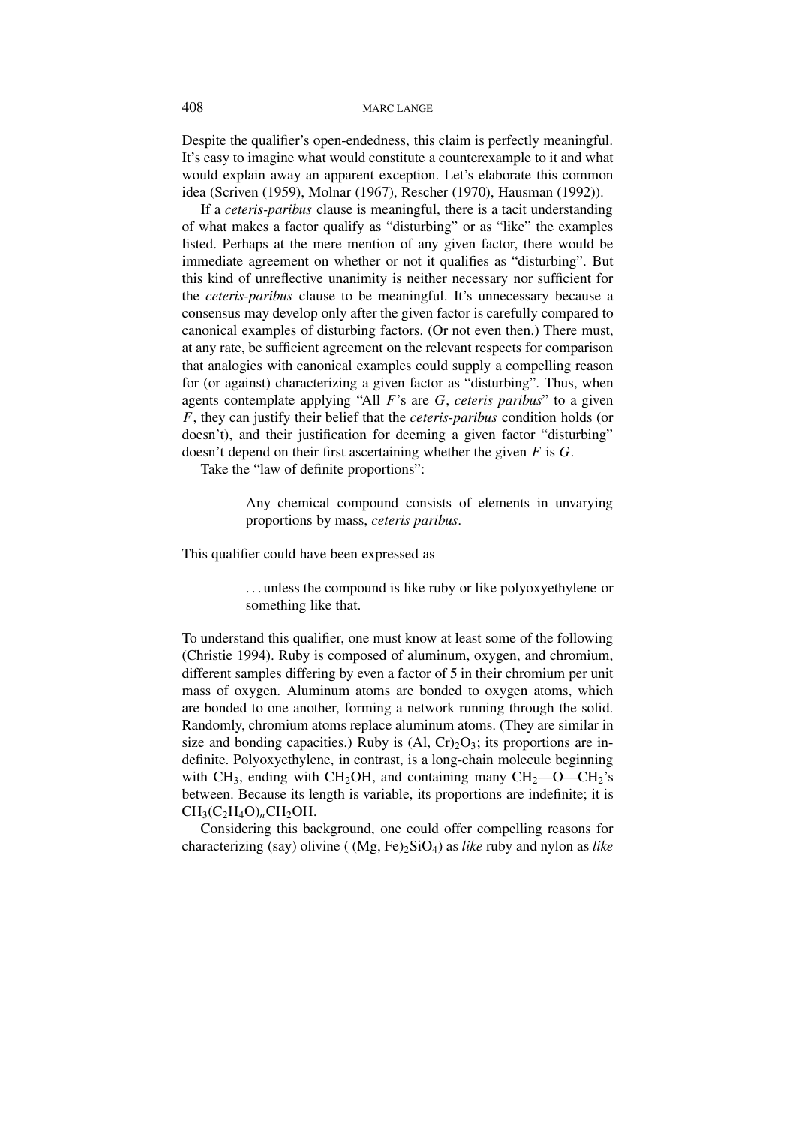Despite the qualifier's open-endedness, this claim is perfectly meaningful. It's easy to imagine what would constitute a counterexample to it and what would explain away an apparent exception. Let's elaborate this common idea (Scriven (1959), Molnar (1967), Rescher (1970), Hausman (1992)).

If a *ceteris-paribus* clause is meaningful, there is a tacit understanding of what makes a factor qualify as "disturbing" or as "like" the examples listed. Perhaps at the mere mention of any given factor, there would be immediate agreement on whether or not it qualifies as "disturbing". But this kind of unreflective unanimity is neither necessary nor sufficient for the *ceteris-paribus* clause to be meaningful. It's unnecessary because a consensus may develop only after the given factor is carefully compared to canonical examples of disturbing factors. (Or not even then.) There must, at any rate, be sufficient agreement on the relevant respects for comparison that analogies with canonical examples could supply a compelling reason for (or against) characterizing a given factor as "disturbing". Thus, when agents contemplate applying "All *F*'s are *G*, *ceteris paribus*" to a given *F*, they can justify their belief that the *ceteris-paribus* condition holds (or doesn't), and their justification for deeming a given factor "disturbing" doesn't depend on their first ascertaining whether the given *F* is *G*.

Take the "law of definite proportions":

Any chemical compound consists of elements in unvarying proportions by mass, *ceteris paribus*.

This qualifier could have been expressed as

. . . unless the compound is like ruby or like polyoxyethylene or something like that.

To understand this qualifier, one must know at least some of the following (Christie 1994). Ruby is composed of aluminum, oxygen, and chromium, different samples differing by even a factor of 5 in their chromium per unit mass of oxygen. Aluminum atoms are bonded to oxygen atoms, which are bonded to one another, forming a network running through the solid. Randomly, chromium atoms replace aluminum atoms. (They are similar in size and bonding capacities.) Ruby is  $(AI, Cr)<sub>2</sub>O<sub>3</sub>$ ; its proportions are indefinite. Polyoxyethylene, in contrast, is a long-chain molecule beginning with  $CH_3$ , ending with CH<sub>2</sub>OH, and containing many  $CH_2$ —O—CH<sub>2</sub>'s between. Because its length is variable, its proportions are indefinite; it is  $CH<sub>3</sub>(C<sub>2</sub>H<sub>4</sub>O)<sub>n</sub>CH<sub>2</sub>OH.$ 

Considering this background, one could offer compelling reasons for characterizing (say) olivine ( $(Mg, Fe)_{2}SiO_{4}$ ) as *like* ruby and nylon as *like*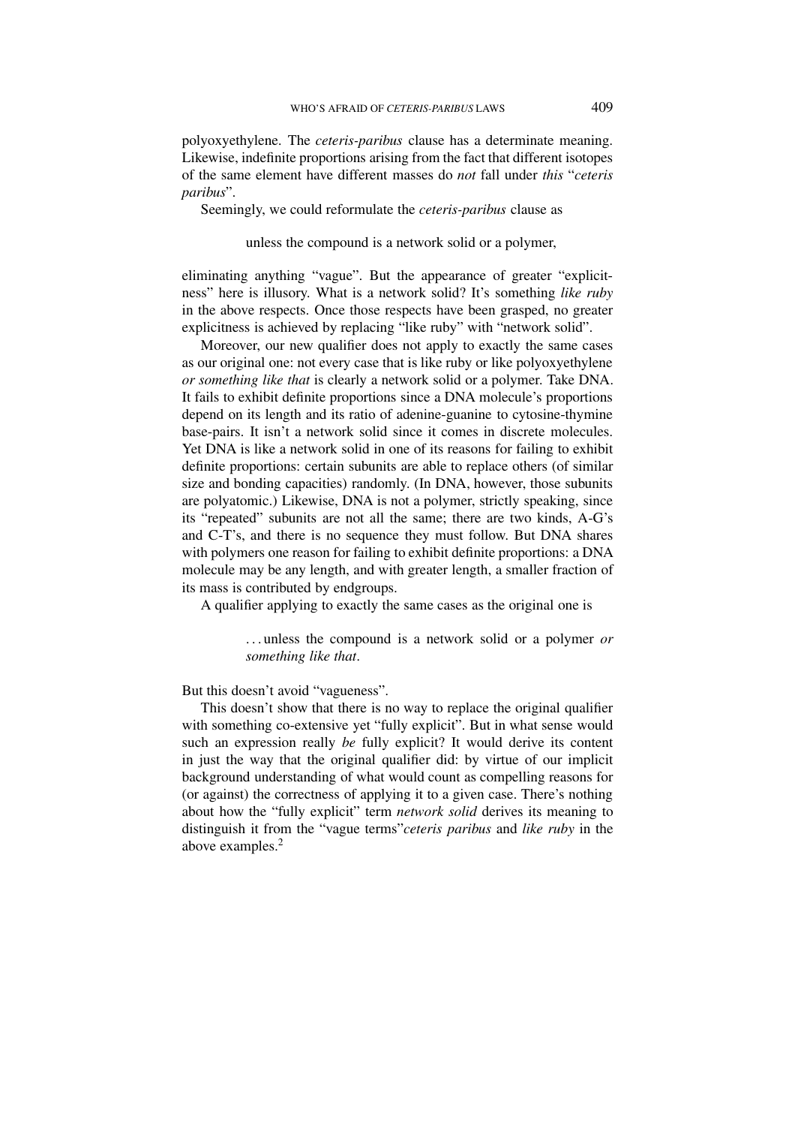polyoxyethylene. The *ceteris-paribus* clause has a determinate meaning. Likewise, indefinite proportions arising from the fact that different isotopes of the same element have different masses do *not* fall under *this* "*ceteris paribus*".

Seemingly, we could reformulate the *ceteris-paribus* clause as

unless the compound is a network solid or a polymer,

eliminating anything "vague". But the appearance of greater "explicitness" here is illusory. What is a network solid? It's something *like ruby* in the above respects. Once those respects have been grasped, no greater explicitness is achieved by replacing "like ruby" with "network solid".

Moreover, our new qualifier does not apply to exactly the same cases as our original one: not every case that is like ruby or like polyoxyethylene *or something like that* is clearly a network solid or a polymer. Take DNA. It fails to exhibit definite proportions since a DNA molecule's proportions depend on its length and its ratio of adenine-guanine to cytosine-thymine base-pairs. It isn't a network solid since it comes in discrete molecules. Yet DNA is like a network solid in one of its reasons for failing to exhibit definite proportions: certain subunits are able to replace others (of similar size and bonding capacities) randomly. (In DNA, however, those subunits are polyatomic.) Likewise, DNA is not a polymer, strictly speaking, since its "repeated" subunits are not all the same; there are two kinds, A-G's and C-T's, and there is no sequence they must follow. But DNA shares with polymers one reason for failing to exhibit definite proportions: a DNA molecule may be any length, and with greater length, a smaller fraction of its mass is contributed by endgroups.

A qualifier applying to exactly the same cases as the original one is

. . . unless the compound is a network solid or a polymer *or something like that*.

But this doesn't avoid "vagueness".

This doesn't show that there is no way to replace the original qualifier with something co-extensive yet "fully explicit". But in what sense would such an expression really *be* fully explicit? It would derive its content in just the way that the original qualifier did: by virtue of our implicit background understanding of what would count as compelling reasons for (or against) the correctness of applying it to a given case. There's nothing about how the "fully explicit" term *network solid* derives its meaning to distinguish it from the "vague terms"*ceteris paribus* and *like ruby* in the above examples.<sup>2</sup>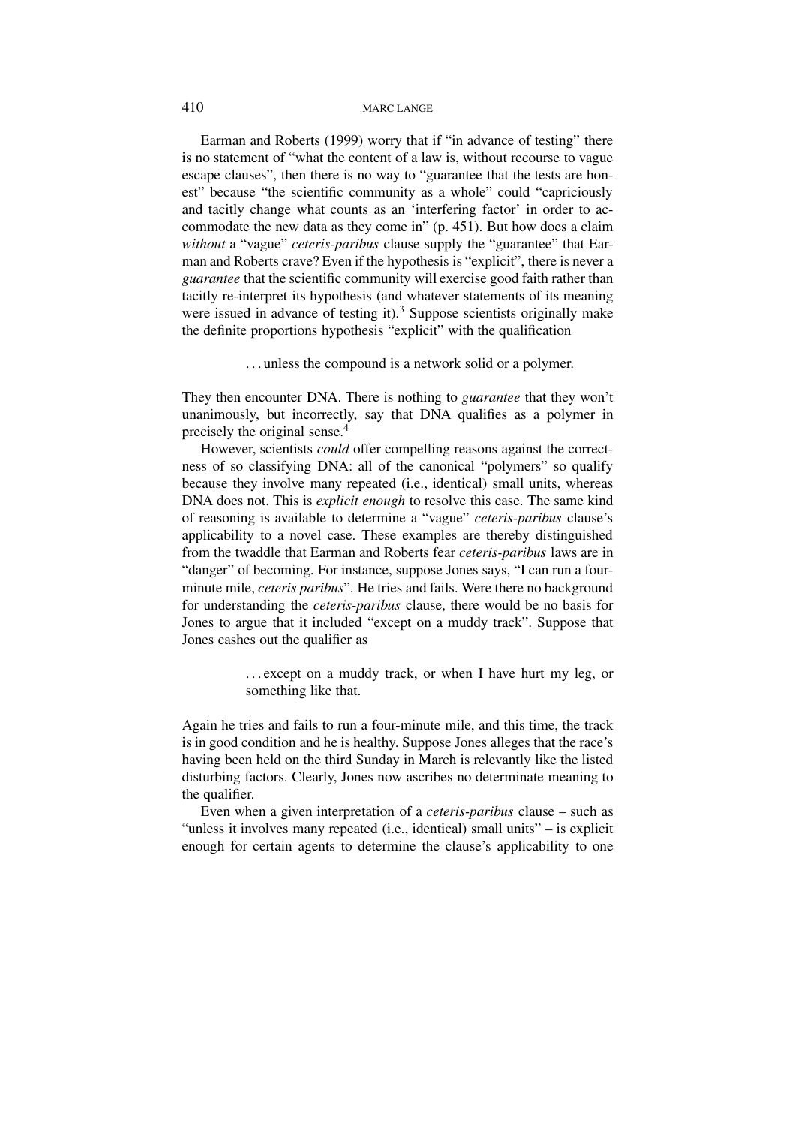Earman and Roberts (1999) worry that if "in advance of testing" there is no statement of "what the content of a law is, without recourse to vague escape clauses", then there is no way to "guarantee that the tests are honest" because "the scientific community as a whole" could "capriciously and tacitly change what counts as an 'interfering factor' in order to accommodate the new data as they come in" (p. 451). But how does a claim *without* a "vague" *ceteris-paribus* clause supply the "guarantee" that Earman and Roberts crave? Even if the hypothesis is "explicit", there is never a *guarantee* that the scientific community will exercise good faith rather than tacitly re-interpret its hypothesis (and whatever statements of its meaning were issued in advance of testing it). $3$  Suppose scientists originally make the definite proportions hypothesis "explicit" with the qualification

. . . unless the compound is a network solid or a polymer.

They then encounter DNA. There is nothing to *guarantee* that they won't unanimously, but incorrectly, say that DNA qualifies as a polymer in precisely the original sense.<sup>4</sup>

However, scientists *could* offer compelling reasons against the correctness of so classifying DNA: all of the canonical "polymers" so qualify because they involve many repeated (i.e., identical) small units, whereas DNA does not. This is *explicit enough* to resolve this case. The same kind of reasoning is available to determine a "vague" *ceteris-paribus* clause's applicability to a novel case. These examples are thereby distinguished from the twaddle that Earman and Roberts fear *ceteris-paribus* laws are in "danger" of becoming. For instance, suppose Jones says, "I can run a fourminute mile, *ceteris paribus*". He tries and fails. Were there no background for understanding the *ceteris-paribus* clause, there would be no basis for Jones to argue that it included "except on a muddy track". Suppose that Jones cashes out the qualifier as

> . . . except on a muddy track, or when I have hurt my leg, or something like that.

Again he tries and fails to run a four-minute mile, and this time, the track is in good condition and he is healthy. Suppose Jones alleges that the race's having been held on the third Sunday in March is relevantly like the listed disturbing factors. Clearly, Jones now ascribes no determinate meaning to the qualifier.

Even when a given interpretation of a *ceteris-paribus* clause – such as "unless it involves many repeated (i.e., identical) small units" – is explicit enough for certain agents to determine the clause's applicability to one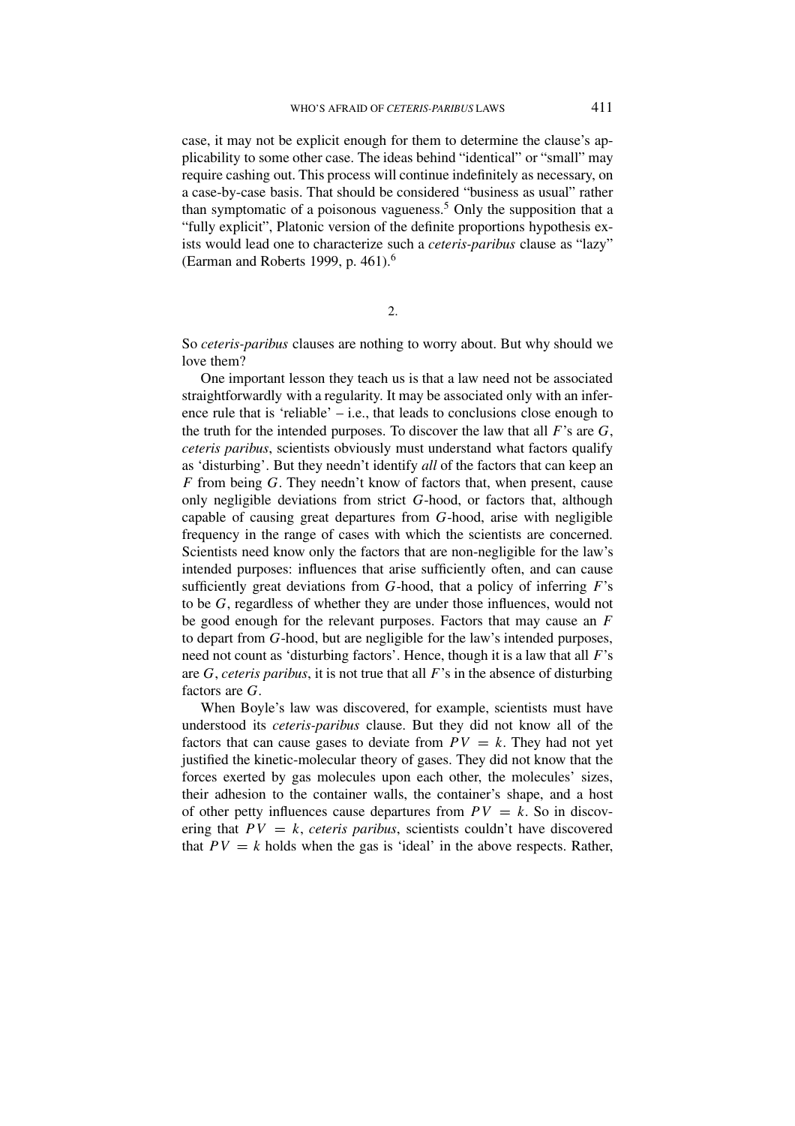case, it may not be explicit enough for them to determine the clause's applicability to some other case. The ideas behind "identical" or "small" may require cashing out. This process will continue indefinitely as necessary, on a case-by-case basis. That should be considered "business as usual" rather than symptomatic of a poisonous vagueness.<sup>5</sup> Only the supposition that a "fully explicit", Platonic version of the definite proportions hypothesis exists would lead one to characterize such a *ceteris-paribus* clause as "lazy" (Earman and Roberts 1999, p. 461).<sup>6</sup>

2.

So *ceteris-paribus* clauses are nothing to worry about. But why should we love them?

One important lesson they teach us is that a law need not be associated straightforwardly with a regularity. It may be associated only with an inference rule that is 'reliable' – i.e., that leads to conclusions close enough to the truth for the intended purposes. To discover the law that all *F*'s are *G*, *ceteris paribus*, scientists obviously must understand what factors qualify as 'disturbing'. But they needn't identify *all* of the factors that can keep an *F* from being *G*. They needn't know of factors that, when present, cause only negligible deviations from strict *G*-hood, or factors that, although capable of causing great departures from *G*-hood, arise with negligible frequency in the range of cases with which the scientists are concerned. Scientists need know only the factors that are non-negligible for the law's intended purposes: influences that arise sufficiently often, and can cause sufficiently great deviations from *G*-hood, that a policy of inferring *F*'s to be *G*, regardless of whether they are under those influences, would not be good enough for the relevant purposes. Factors that may cause an *F* to depart from *G*-hood, but are negligible for the law's intended purposes, need not count as 'disturbing factors'. Hence, though it is a law that all *F*'s are *G*, *ceteris paribus*, it is not true that all *F*'s in the absence of disturbing factors are *G*.

When Boyle's law was discovered, for example, scientists must have understood its *ceteris-paribus* clause. But they did not know all of the factors that can cause gases to deviate from  $PV = k$ . They had not yet justified the kinetic-molecular theory of gases. They did not know that the forces exerted by gas molecules upon each other, the molecules' sizes, their adhesion to the container walls, the container's shape, and a host of other petty influences cause departures from  $PV = k$ . So in discovering that  $PV = k$ , *ceteris paribus*, scientists couldn't have discovered that  $PV = k$  holds when the gas is 'ideal' in the above respects. Rather,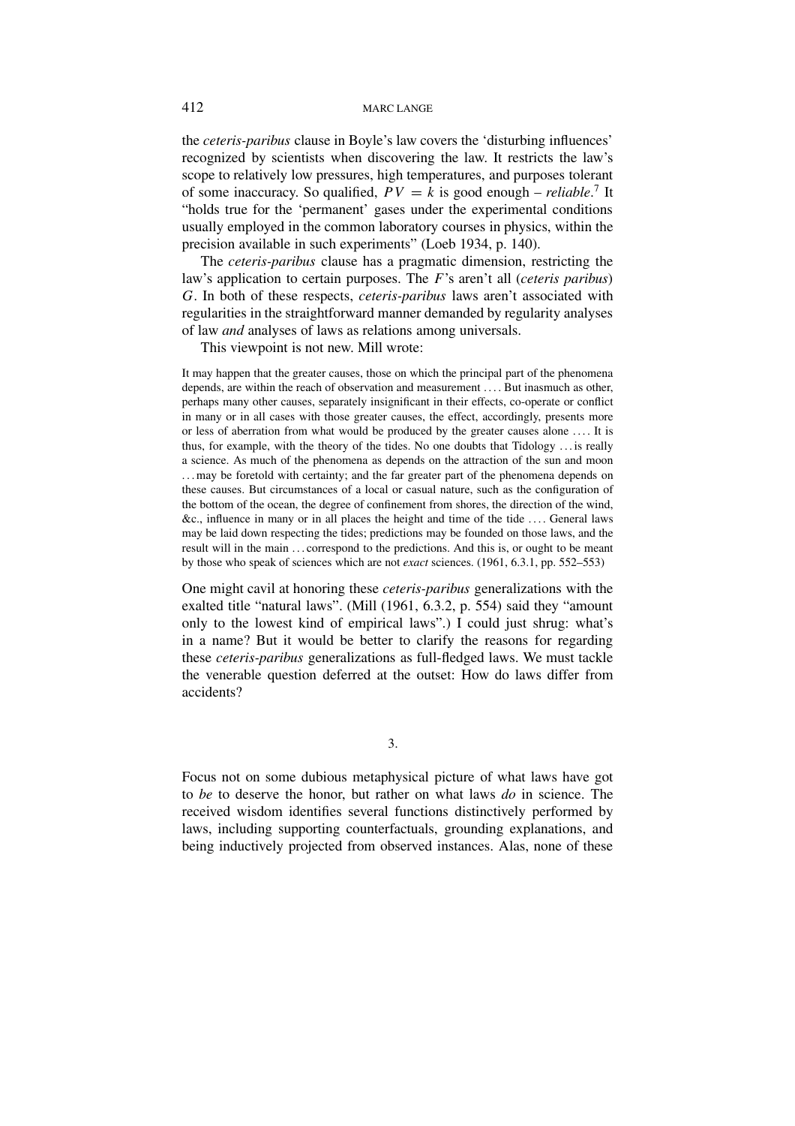the *ceteris-paribus* clause in Boyle's law covers the 'disturbing influences' recognized by scientists when discovering the law. It restricts the law's scope to relatively low pressures, high temperatures, and purposes tolerant of some inaccuracy. So qualified,  $PV = k$  is good enough – *reliable*.<sup>7</sup> It "holds true for the 'permanent' gases under the experimental conditions usually employed in the common laboratory courses in physics, within the precision available in such experiments" (Loeb 1934, p. 140).

The *ceteris-paribus* clause has a pragmatic dimension, restricting the law's application to certain purposes. The *F*'s aren't all (*ceteris paribus*) *G*. In both of these respects, *ceteris-paribus* laws aren't associated with regularities in the straightforward manner demanded by regularity analyses of law *and* analyses of laws as relations among universals.

This viewpoint is not new. Mill wrote:

It may happen that the greater causes, those on which the principal part of the phenomena depends, are within the reach of observation and measurement .... But inasmuch as other, perhaps many other causes, separately insignificant in their effects, co-operate or conflict in many or in all cases with those greater causes, the effect, accordingly, presents more or less of aberration from what would be produced by the greater causes alone . . . . It is thus, for example, with the theory of the tides. No one doubts that Tidology . . . is really a science. As much of the phenomena as depends on the attraction of the sun and moon . . . may be foretold with certainty; and the far greater part of the phenomena depends on these causes. But circumstances of a local or casual nature, such as the configuration of the bottom of the ocean, the degree of confinement from shores, the direction of the wind, &c., influence in many or in all places the height and time of the tide .... General laws may be laid down respecting the tides; predictions may be founded on those laws, and the result will in the main ... correspond to the predictions. And this is, or ought to be meant by those who speak of sciences which are not *exact* sciences. (1961, 6.3.1, pp. 552–553)

One might cavil at honoring these *ceteris-paribus* generalizations with the exalted title "natural laws". (Mill (1961, 6.3.2, p. 554) said they "amount only to the lowest kind of empirical laws".) I could just shrug: what's in a name? But it would be better to clarify the reasons for regarding these *ceteris-paribus* generalizations as full-fledged laws. We must tackle the venerable question deferred at the outset: How do laws differ from accidents?

Focus not on some dubious metaphysical picture of what laws have got to *be* to deserve the honor, but rather on what laws *do* in science. The received wisdom identifies several functions distinctively performed by laws, including supporting counterfactuals, grounding explanations, and being inductively projected from observed instances. Alas, none of these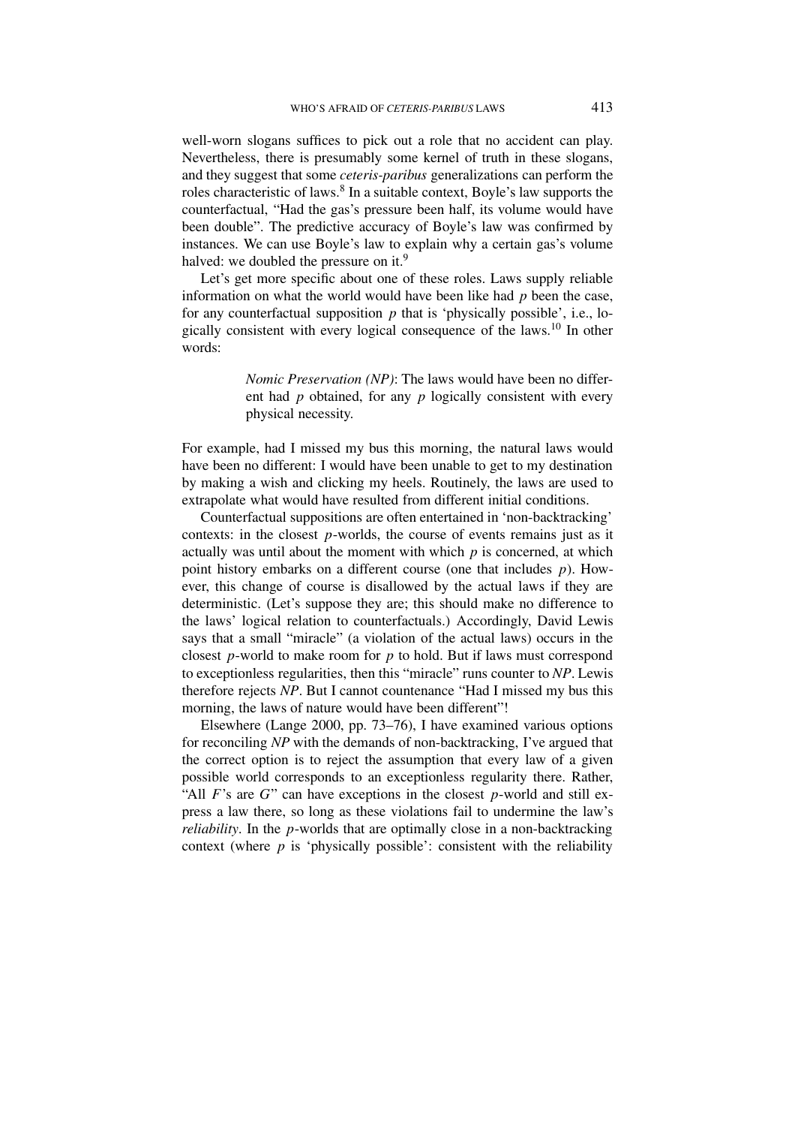well-worn slogans suffices to pick out a role that no accident can play. Nevertheless, there is presumably some kernel of truth in these slogans, and they suggest that some *ceteris-paribus* generalizations can perform the roles characteristic of laws.<sup>8</sup> In a suitable context, Boyle's law supports the counterfactual, "Had the gas's pressure been half, its volume would have been double". The predictive accuracy of Boyle's law was confirmed by instances. We can use Boyle's law to explain why a certain gas's volume halved: we doubled the pressure on it.<sup>9</sup>

Let's get more specific about one of these roles. Laws supply reliable information on what the world would have been like had *p* been the case, for any counterfactual supposition *p* that is 'physically possible', i.e., logically consistent with every logical consequence of the laws.<sup>10</sup> In other words:

> *Nomic Preservation (NP)*: The laws would have been no different had *p* obtained, for any *p* logically consistent with every physical necessity.

For example, had I missed my bus this morning, the natural laws would have been no different: I would have been unable to get to my destination by making a wish and clicking my heels. Routinely, the laws are used to extrapolate what would have resulted from different initial conditions.

Counterfactual suppositions are often entertained in 'non-backtracking' contexts: in the closest *p*-worlds, the course of events remains just as it actually was until about the moment with which *p* is concerned, at which point history embarks on a different course (one that includes *p*). However, this change of course is disallowed by the actual laws if they are deterministic. (Let's suppose they are; this should make no difference to the laws' logical relation to counterfactuals.) Accordingly, David Lewis says that a small "miracle" (a violation of the actual laws) occurs in the closest *p*-world to make room for *p* to hold. But if laws must correspond to exceptionless regularities, then this "miracle" runs counter to *NP*. Lewis therefore rejects *NP*. But I cannot countenance "Had I missed my bus this morning, the laws of nature would have been different"!

Elsewhere (Lange 2000, pp. 73–76), I have examined various options for reconciling *NP* with the demands of non-backtracking, I've argued that the correct option is to reject the assumption that every law of a given possible world corresponds to an exceptionless regularity there. Rather, "All *F*'s are *G*" can have exceptions in the closest *p*-world and still express a law there, so long as these violations fail to undermine the law's *reliability*. In the *p*-worlds that are optimally close in a non-backtracking context (where *p* is 'physically possible': consistent with the reliability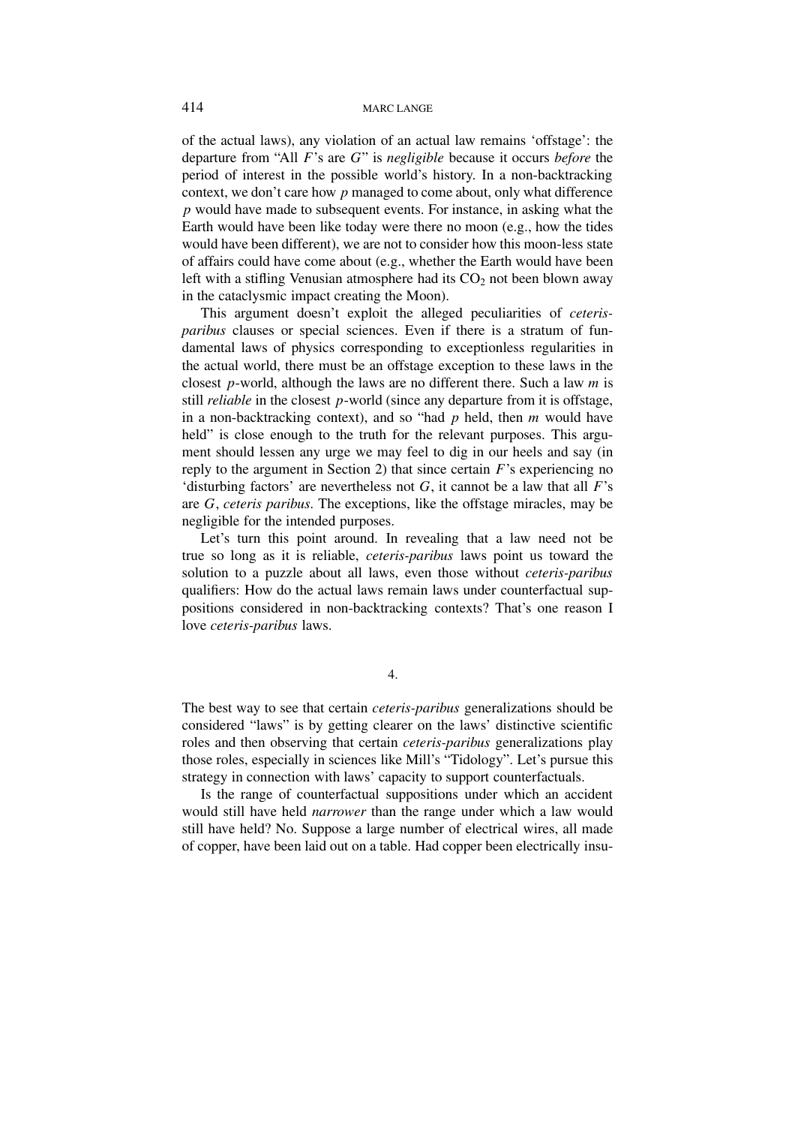of the actual laws), any violation of an actual law remains 'offstage': the departure from "All *F*'s are *G*" is *negligible* because it occurs *before* the period of interest in the possible world's history. In a non-backtracking context, we don't care how *p* managed to come about, only what difference *p* would have made to subsequent events. For instance, in asking what the Earth would have been like today were there no moon (e.g., how the tides would have been different), we are not to consider how this moon-less state of affairs could have come about (e.g., whether the Earth would have been left with a stifling Venusian atmosphere had its  $CO<sub>2</sub>$  not been blown away in the cataclysmic impact creating the Moon).

This argument doesn't exploit the alleged peculiarities of *ceterisparibus* clauses or special sciences. Even if there is a stratum of fundamental laws of physics corresponding to exceptionless regularities in the actual world, there must be an offstage exception to these laws in the closest *p*-world, although the laws are no different there. Such a law *m* is still *reliable* in the closest *p*-world (since any departure from it is offstage, in a non-backtracking context), and so "had *p* held, then *m* would have held" is close enough to the truth for the relevant purposes. This argument should lessen any urge we may feel to dig in our heels and say (in reply to the argument in Section 2) that since certain *F*'s experiencing no 'disturbing factors' are nevertheless not *G*, it cannot be a law that all *F*'s are *G*, *ceteris paribus*. The exceptions, like the offstage miracles, may be negligible for the intended purposes.

Let's turn this point around. In revealing that a law need not be true so long as it is reliable, *ceteris-paribus* laws point us toward the solution to a puzzle about all laws, even those without *ceteris-paribus* qualifiers: How do the actual laws remain laws under counterfactual suppositions considered in non-backtracking contexts? That's one reason I love *ceteris-paribus* laws.

4.

The best way to see that certain *ceteris-paribus* generalizations should be considered "laws" is by getting clearer on the laws' distinctive scientific roles and then observing that certain *ceteris-paribus* generalizations play those roles, especially in sciences like Mill's "Tidology". Let's pursue this strategy in connection with laws' capacity to support counterfactuals.

Is the range of counterfactual suppositions under which an accident would still have held *narrower* than the range under which a law would still have held? No. Suppose a large number of electrical wires, all made of copper, have been laid out on a table. Had copper been electrically insu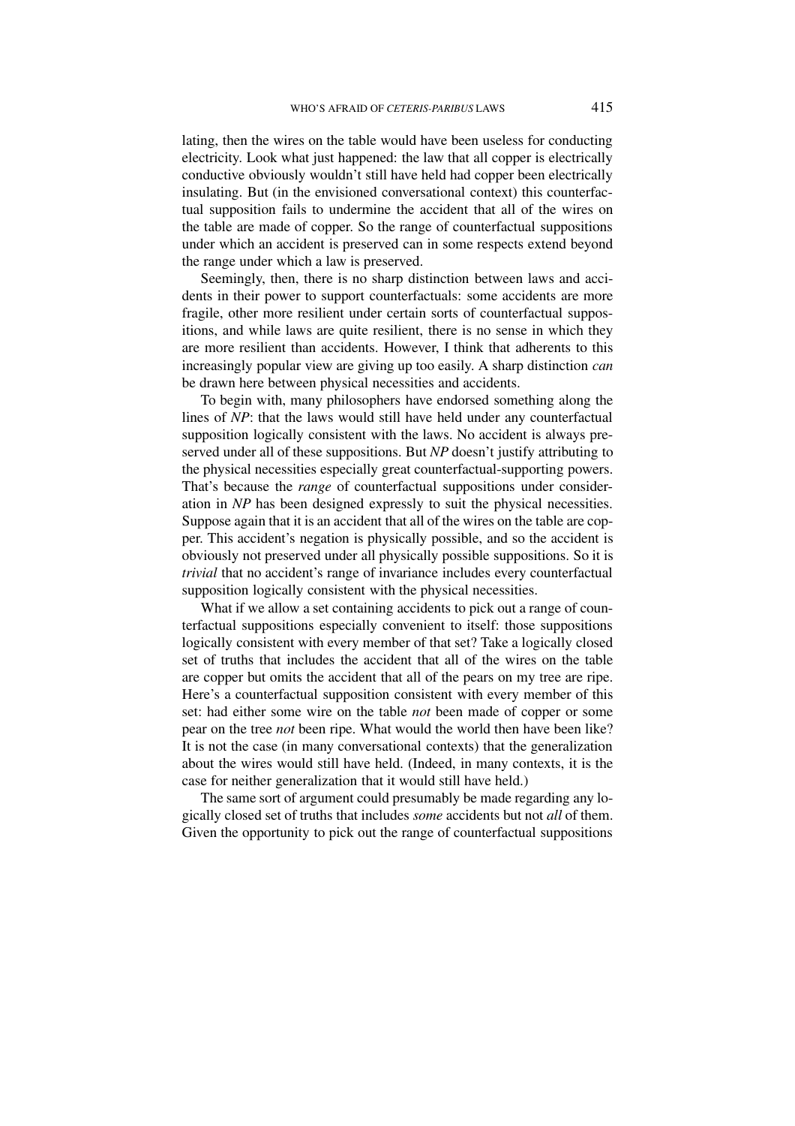lating, then the wires on the table would have been useless for conducting electricity. Look what just happened: the law that all copper is electrically conductive obviously wouldn't still have held had copper been electrically insulating. But (in the envisioned conversational context) this counterfactual supposition fails to undermine the accident that all of the wires on the table are made of copper. So the range of counterfactual suppositions under which an accident is preserved can in some respects extend beyond the range under which a law is preserved.

Seemingly, then, there is no sharp distinction between laws and accidents in their power to support counterfactuals: some accidents are more fragile, other more resilient under certain sorts of counterfactual suppositions, and while laws are quite resilient, there is no sense in which they are more resilient than accidents. However, I think that adherents to this increasingly popular view are giving up too easily. A sharp distinction *can* be drawn here between physical necessities and accidents.

To begin with, many philosophers have endorsed something along the lines of *NP*: that the laws would still have held under any counterfactual supposition logically consistent with the laws. No accident is always preserved under all of these suppositions. But *NP* doesn't justify attributing to the physical necessities especially great counterfactual-supporting powers. That's because the *range* of counterfactual suppositions under consideration in *NP* has been designed expressly to suit the physical necessities. Suppose again that it is an accident that all of the wires on the table are copper. This accident's negation is physically possible, and so the accident is obviously not preserved under all physically possible suppositions. So it is *trivial* that no accident's range of invariance includes every counterfactual supposition logically consistent with the physical necessities.

What if we allow a set containing accidents to pick out a range of counterfactual suppositions especially convenient to itself: those suppositions logically consistent with every member of that set? Take a logically closed set of truths that includes the accident that all of the wires on the table are copper but omits the accident that all of the pears on my tree are ripe. Here's a counterfactual supposition consistent with every member of this set: had either some wire on the table *not* been made of copper or some pear on the tree *not* been ripe. What would the world then have been like? It is not the case (in many conversational contexts) that the generalization about the wires would still have held. (Indeed, in many contexts, it is the case for neither generalization that it would still have held.)

The same sort of argument could presumably be made regarding any logically closed set of truths that includes *some* accidents but not *all* of them. Given the opportunity to pick out the range of counterfactual suppositions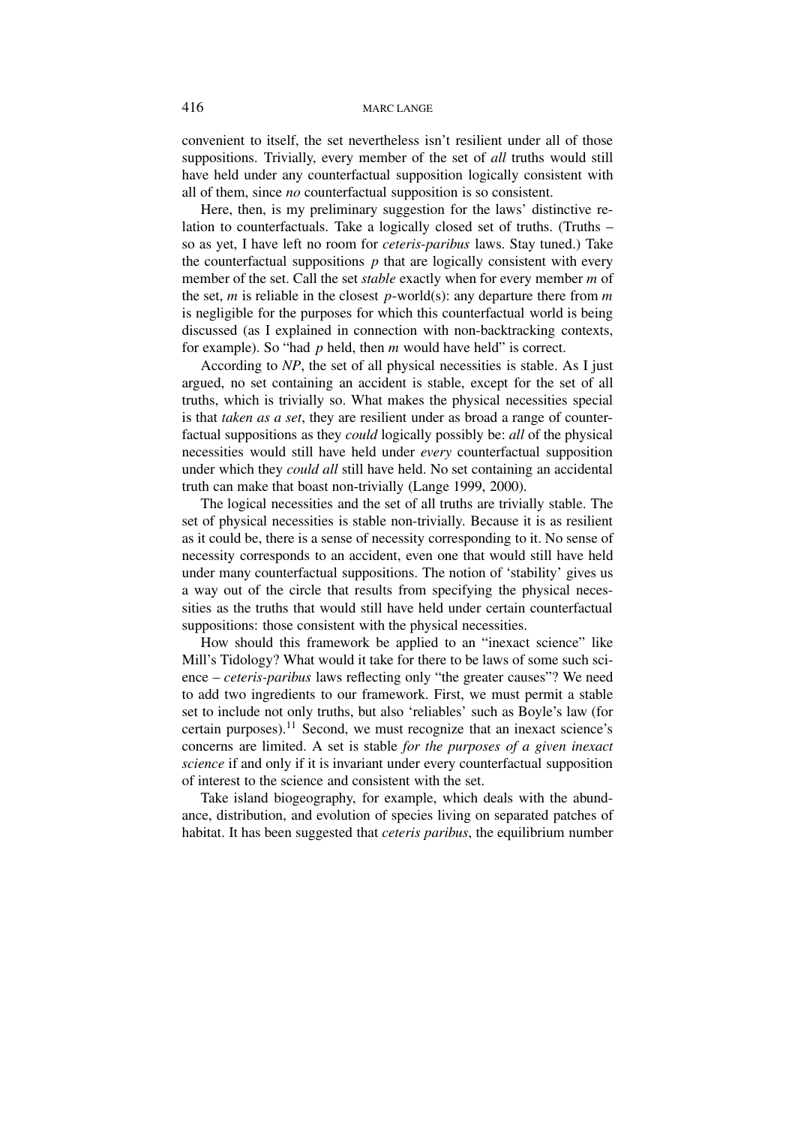convenient to itself, the set nevertheless isn't resilient under all of those suppositions. Trivially, every member of the set of *all* truths would still have held under any counterfactual supposition logically consistent with all of them, since *no* counterfactual supposition is so consistent.

Here, then, is my preliminary suggestion for the laws' distinctive relation to counterfactuals. Take a logically closed set of truths. (Truths – so as yet, I have left no room for *ceteris-paribus* laws. Stay tuned.) Take the counterfactual suppositions *p* that are logically consistent with every member of the set. Call the set *stable* exactly when for every member *m* of the set, *m* is reliable in the closest *p*-world(s): any departure there from *m* is negligible for the purposes for which this counterfactual world is being discussed (as I explained in connection with non-backtracking contexts, for example). So "had *p* held, then *m* would have held" is correct.

According to *NP*, the set of all physical necessities is stable. As I just argued, no set containing an accident is stable, except for the set of all truths, which is trivially so. What makes the physical necessities special is that *taken as a set*, they are resilient under as broad a range of counterfactual suppositions as they *could* logically possibly be: *all* of the physical necessities would still have held under *every* counterfactual supposition under which they *could all* still have held. No set containing an accidental truth can make that boast non-trivially (Lange 1999, 2000).

The logical necessities and the set of all truths are trivially stable. The set of physical necessities is stable non-trivially. Because it is as resilient as it could be, there is a sense of necessity corresponding to it. No sense of necessity corresponds to an accident, even one that would still have held under many counterfactual suppositions. The notion of 'stability' gives us a way out of the circle that results from specifying the physical necessities as the truths that would still have held under certain counterfactual suppositions: those consistent with the physical necessities.

How should this framework be applied to an "inexact science" like Mill's Tidology? What would it take for there to be laws of some such science – *ceteris-paribus* laws reflecting only "the greater causes"? We need to add two ingredients to our framework. First, we must permit a stable set to include not only truths, but also 'reliables' such as Boyle's law (for certain purposes).<sup>11</sup> Second, we must recognize that an inexact science's concerns are limited. A set is stable *for the purposes of a given inexact science* if and only if it is invariant under every counterfactual supposition of interest to the science and consistent with the set.

Take island biogeography, for example, which deals with the abundance, distribution, and evolution of species living on separated patches of habitat. It has been suggested that *ceteris paribus*, the equilibrium number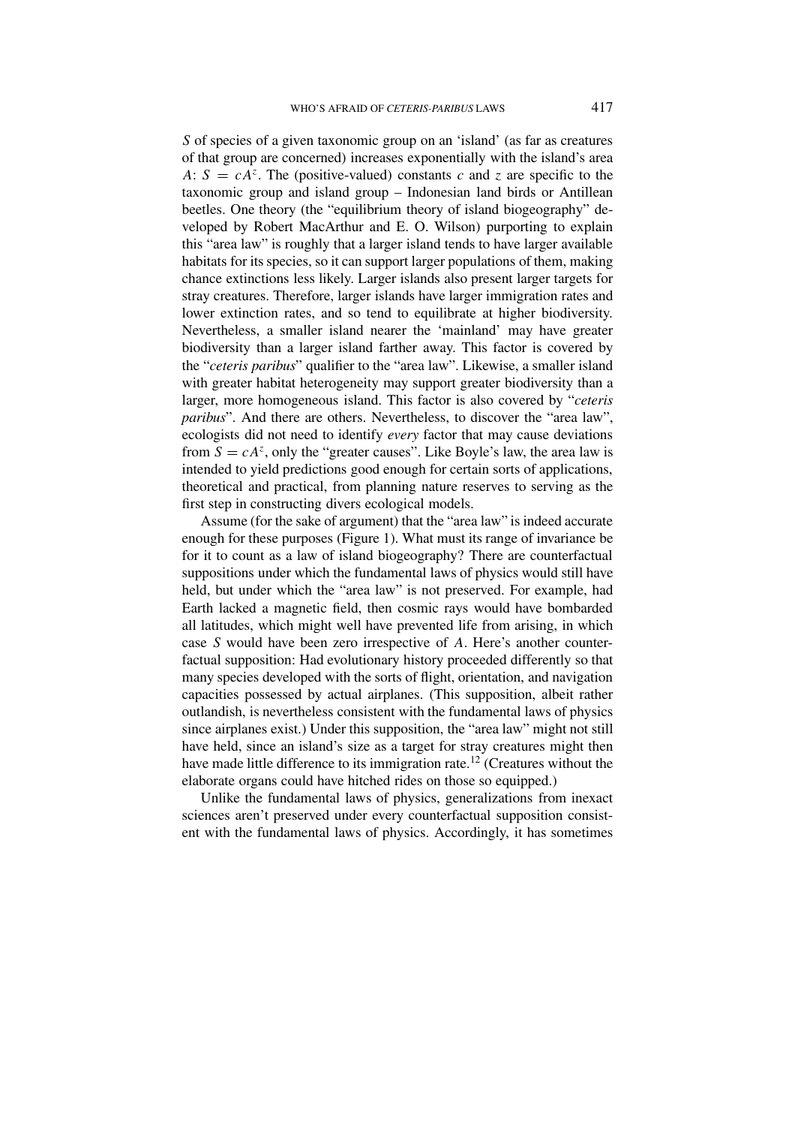*S* of species of a given taxonomic group on an 'island' (as far as creatures of that group are concerned) increases exponentially with the island's area *A*:  $S = cA^z$ . The (positive-valued) constants *c* and *z* are specific to the taxonomic group and island group – Indonesian land birds or Antillean beetles. One theory (the "equilibrium theory of island biogeography" developed by Robert MacArthur and E. O. Wilson) purporting to explain this "area law" is roughly that a larger island tends to have larger available habitats for its species, so it can support larger populations of them, making chance extinctions less likely. Larger islands also present larger targets for stray creatures. Therefore, larger islands have larger immigration rates and lower extinction rates, and so tend to equilibrate at higher biodiversity. Nevertheless, a smaller island nearer the 'mainland' may have greater biodiversity than a larger island farther away. This factor is covered by the "*ceteris paribus*" qualifier to the "area law". Likewise, a smaller island with greater habitat heterogeneity may support greater biodiversity than a larger, more homogeneous island. This factor is also covered by "*ceteris paribus*". And there are others. Nevertheless, to discover the "area law", ecologists did not need to identify *every* factor that may cause deviations from  $S = cA^z$ , only the "greater causes". Like Boyle's law, the area law is intended to yield predictions good enough for certain sorts of applications, theoretical and practical, from planning nature reserves to serving as the first step in constructing divers ecological models.

Assume (for the sake of argument) that the "area law" is indeed accurate enough for these purposes (Figure 1). What must its range of invariance be for it to count as a law of island biogeography? There are counterfactual suppositions under which the fundamental laws of physics would still have held, but under which the "area law" is not preserved. For example, had Earth lacked a magnetic field, then cosmic rays would have bombarded all latitudes, which might well have prevented life from arising, in which case *S* would have been zero irrespective of *A*. Here's another counterfactual supposition: Had evolutionary history proceeded differently so that many species developed with the sorts of flight, orientation, and navigation capacities possessed by actual airplanes. (This supposition, albeit rather outlandish, is nevertheless consistent with the fundamental laws of physics since airplanes exist.) Under this supposition, the "area law" might not still have held, since an island's size as a target for stray creatures might then have made little difference to its immigration rate.<sup>12</sup> (Creatures without the elaborate organs could have hitched rides on those so equipped.)

Unlike the fundamental laws of physics, generalizations from inexact sciences aren't preserved under every counterfactual supposition consistent with the fundamental laws of physics. Accordingly, it has sometimes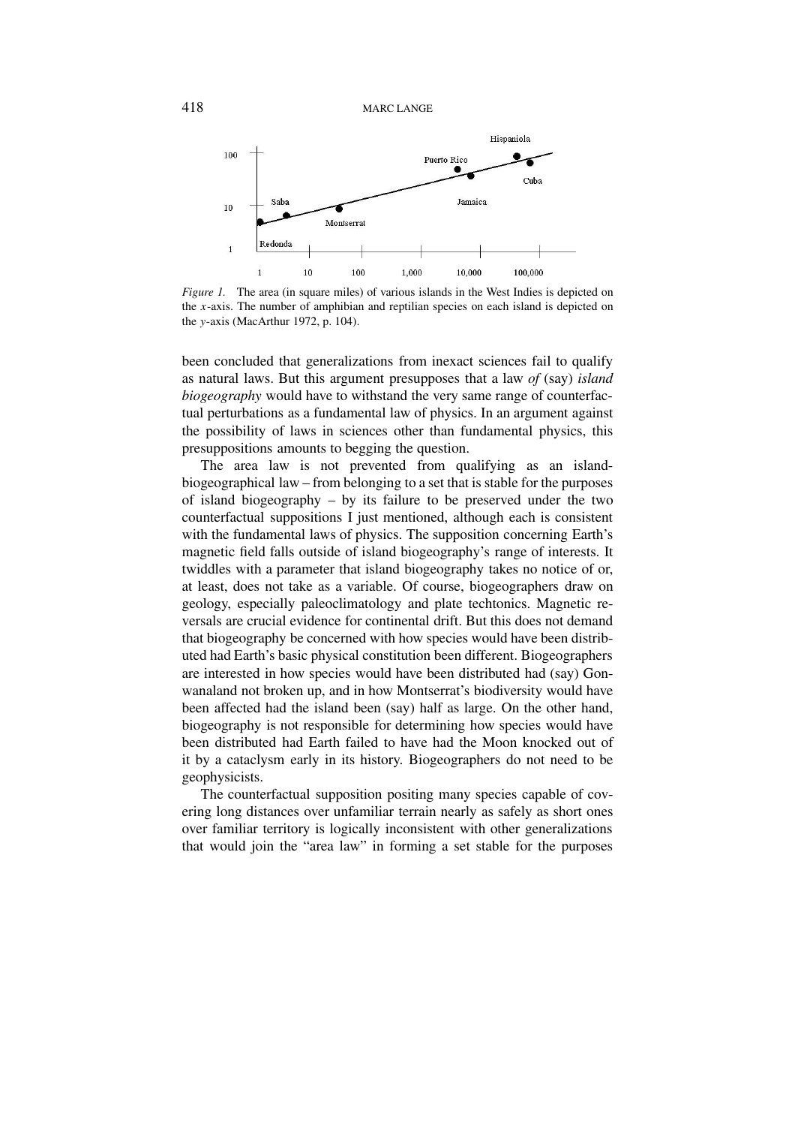

*Figure 1.* The area (in square miles) of various islands in the West Indies is depicted on the *x*-axis. The number of amphibian and reptilian species on each island is depicted on the *y*-axis (MacArthur 1972, p. 104).

been concluded that generalizations from inexact sciences fail to qualify as natural laws. But this argument presupposes that a law *of* (say) *island biogeography* would have to withstand the very same range of counterfactual perturbations as a fundamental law of physics. In an argument against the possibility of laws in sciences other than fundamental physics, this presuppositions amounts to begging the question.

The area law is not prevented from qualifying as an islandbiogeographical law – from belonging to a set that is stable for the purposes of island biogeography – by its failure to be preserved under the two counterfactual suppositions I just mentioned, although each is consistent with the fundamental laws of physics. The supposition concerning Earth's magnetic field falls outside of island biogeography's range of interests. It twiddles with a parameter that island biogeography takes no notice of or, at least, does not take as a variable. Of course, biogeographers draw on geology, especially paleoclimatology and plate techtonics. Magnetic reversals are crucial evidence for continental drift. But this does not demand that biogeography be concerned with how species would have been distributed had Earth's basic physical constitution been different. Biogeographers are interested in how species would have been distributed had (say) Gonwanaland not broken up, and in how Montserrat's biodiversity would have been affected had the island been (say) half as large. On the other hand, biogeography is not responsible for determining how species would have been distributed had Earth failed to have had the Moon knocked out of it by a cataclysm early in its history. Biogeographers do not need to be geophysicists.

The counterfactual supposition positing many species capable of covering long distances over unfamiliar terrain nearly as safely as short ones over familiar territory is logically inconsistent with other generalizations that would join the "area law" in forming a set stable for the purposes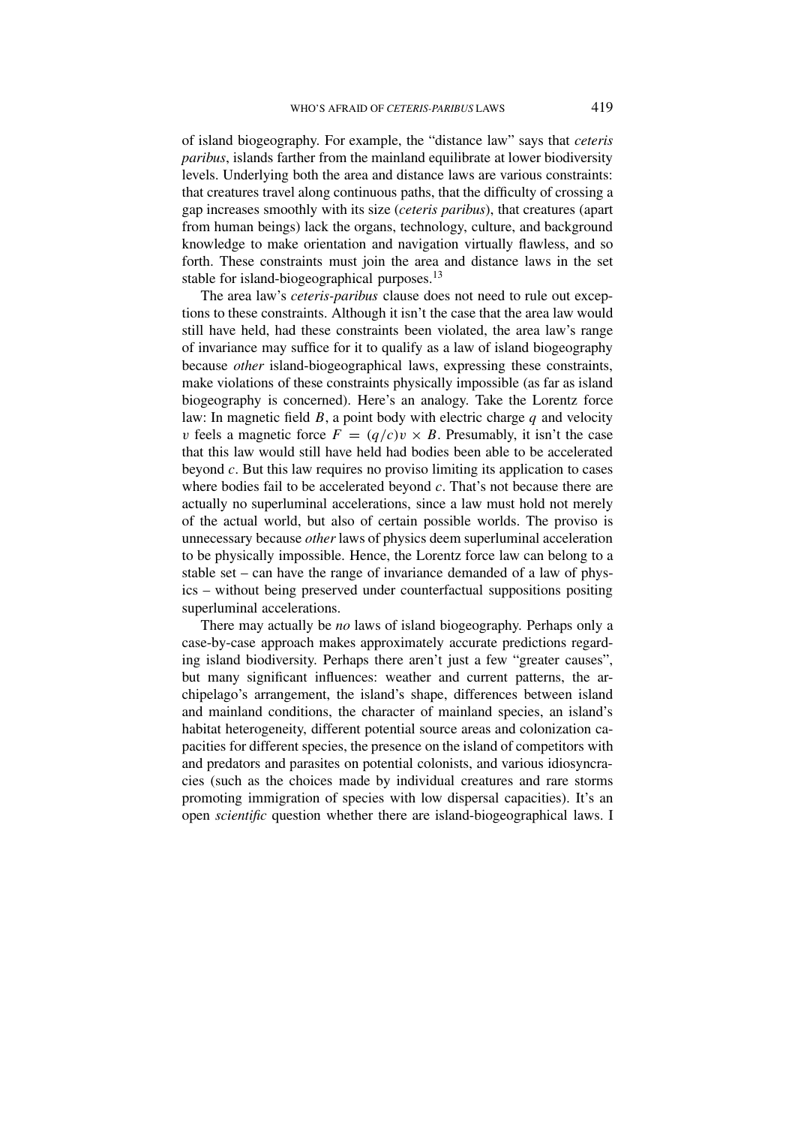of island biogeography. For example, the "distance law" says that *ceteris paribus*, islands farther from the mainland equilibrate at lower biodiversity levels. Underlying both the area and distance laws are various constraints: that creatures travel along continuous paths, that the difficulty of crossing a gap increases smoothly with its size (*ceteris paribus*), that creatures (apart from human beings) lack the organs, technology, culture, and background knowledge to make orientation and navigation virtually flawless, and so forth. These constraints must join the area and distance laws in the set stable for island-biogeographical purposes.<sup>13</sup>

The area law's *ceteris-paribus* clause does not need to rule out exceptions to these constraints. Although it isn't the case that the area law would still have held, had these constraints been violated, the area law's range of invariance may suffice for it to qualify as a law of island biogeography because *other* island-biogeographical laws, expressing these constraints, make violations of these constraints physically impossible (as far as island biogeography is concerned). Here's an analogy. Take the Lorentz force law: In magnetic field *B*, a point body with electric charge *q* and velocity *v* feels a magnetic force  $F = (q/c)v \times B$ . Presumably, it isn't the case that this law would still have held had bodies been able to be accelerated beyond *c*. But this law requires no proviso limiting its application to cases where bodies fail to be accelerated beyond *c*. That's not because there are actually no superluminal accelerations, since a law must hold not merely of the actual world, but also of certain possible worlds. The proviso is unnecessary because *other* laws of physics deem superluminal acceleration to be physically impossible. Hence, the Lorentz force law can belong to a stable set – can have the range of invariance demanded of a law of physics – without being preserved under counterfactual suppositions positing superluminal accelerations.

There may actually be *no* laws of island biogeography. Perhaps only a case-by-case approach makes approximately accurate predictions regarding island biodiversity. Perhaps there aren't just a few "greater causes", but many significant influences: weather and current patterns, the archipelago's arrangement, the island's shape, differences between island and mainland conditions, the character of mainland species, an island's habitat heterogeneity, different potential source areas and colonization capacities for different species, the presence on the island of competitors with and predators and parasites on potential colonists, and various idiosyncracies (such as the choices made by individual creatures and rare storms promoting immigration of species with low dispersal capacities). It's an open *scientific* question whether there are island-biogeographical laws. I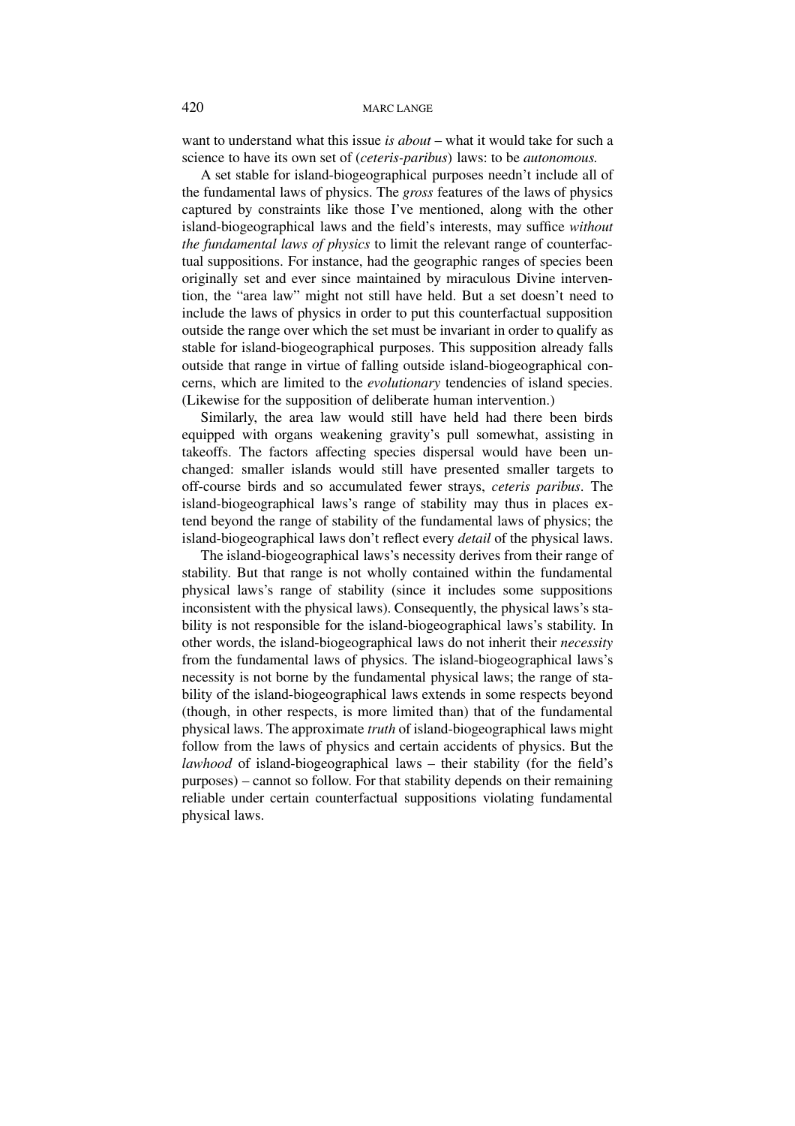want to understand what this issue *is about* – what it would take for such a science to have its own set of (*ceteris-paribus*) laws: to be *autonomous.*

A set stable for island-biogeographical purposes needn't include all of the fundamental laws of physics. The *gross* features of the laws of physics captured by constraints like those I've mentioned, along with the other island-biogeographical laws and the field's interests, may suffice *without the fundamental laws of physics* to limit the relevant range of counterfactual suppositions. For instance, had the geographic ranges of species been originally set and ever since maintained by miraculous Divine intervention, the "area law" might not still have held. But a set doesn't need to include the laws of physics in order to put this counterfactual supposition outside the range over which the set must be invariant in order to qualify as stable for island-biogeographical purposes. This supposition already falls outside that range in virtue of falling outside island-biogeographical concerns, which are limited to the *evolutionary* tendencies of island species. (Likewise for the supposition of deliberate human intervention.)

Similarly, the area law would still have held had there been birds equipped with organs weakening gravity's pull somewhat, assisting in takeoffs. The factors affecting species dispersal would have been unchanged: smaller islands would still have presented smaller targets to off-course birds and so accumulated fewer strays, *ceteris paribus*. The island-biogeographical laws's range of stability may thus in places extend beyond the range of stability of the fundamental laws of physics; the island-biogeographical laws don't reflect every *detail* of the physical laws.

The island-biogeographical laws's necessity derives from their range of stability. But that range is not wholly contained within the fundamental physical laws's range of stability (since it includes some suppositions inconsistent with the physical laws). Consequently, the physical laws's stability is not responsible for the island-biogeographical laws's stability. In other words, the island-biogeographical laws do not inherit their *necessity* from the fundamental laws of physics. The island-biogeographical laws's necessity is not borne by the fundamental physical laws; the range of stability of the island-biogeographical laws extends in some respects beyond (though, in other respects, is more limited than) that of the fundamental physical laws. The approximate *truth* of island-biogeographical laws might follow from the laws of physics and certain accidents of physics. But the *lawhood* of island-biogeographical laws – their stability (for the field's purposes) – cannot so follow. For that stability depends on their remaining reliable under certain counterfactual suppositions violating fundamental physical laws.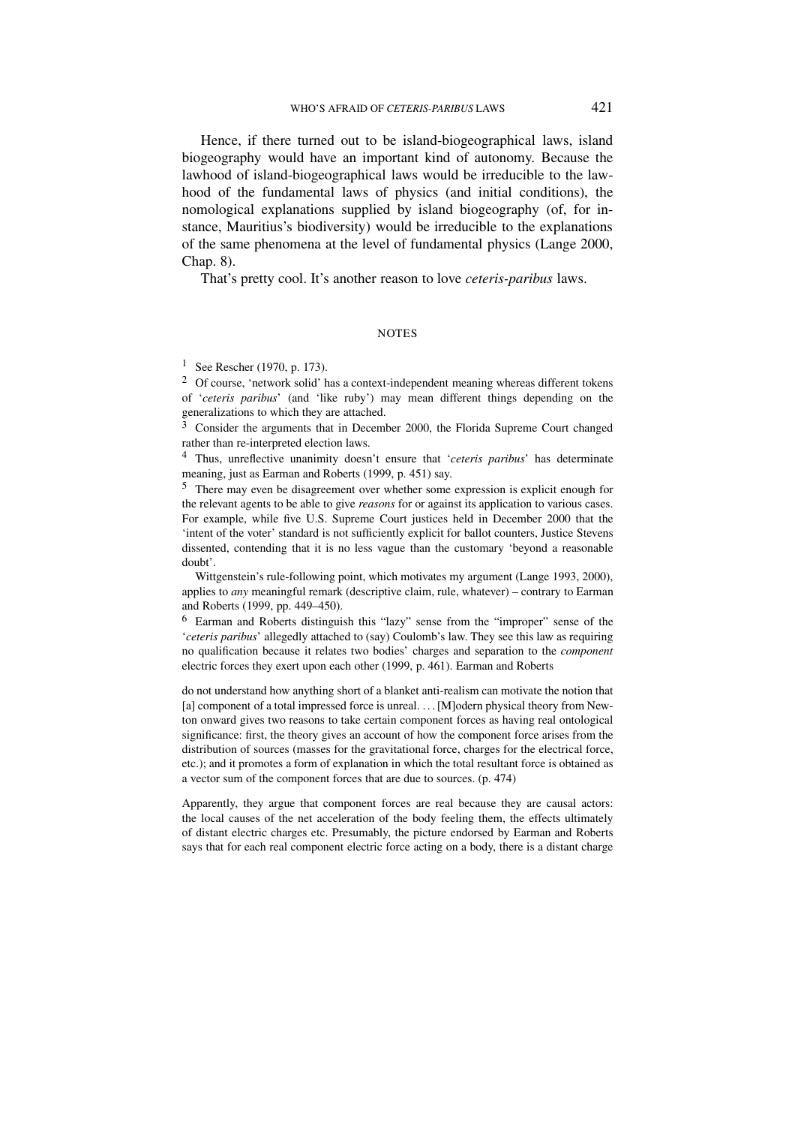Hence, if there turned out to be island-biogeographical laws, island biogeography would have an important kind of autonomy. Because the lawhood of island-biogeographical laws would be irreducible to the lawhood of the fundamental laws of physics (and initial conditions), the nomological explanations supplied by island biogeography (of, for instance, Mauritius's biodiversity) would be irreducible to the explanations of the same phenomena at the level of fundamental physics (Lange 2000, Chap. 8).

That's pretty cool. It's another reason to love *ceteris-paribus* laws.

#### **NOTES**

<sup>1</sup> See Rescher (1970, p. 173).

<sup>2</sup> Of course, 'network solid' has a context-independent meaning whereas different tokens of '*ceteris paribus*' (and 'like ruby') may mean different things depending on the generalizations to which they are attached.

 $3$  Consider the arguments that in December 2000, the Florida Supreme Court changed rather than re-interpreted election laws.

<sup>4</sup> Thus, unreflective unanimity doesn't ensure that '*ceteris paribus*' has determinate meaning, just as Earman and Roberts (1999, p. 451) say.

<sup>5</sup> There may even be disagreement over whether some expression is explicit enough for the relevant agents to be able to give *reasons* for or against its application to various cases. For example, while five U.S. Supreme Court justices held in December 2000 that the 'intent of the voter' standard is not sufficiently explicit for ballot counters, Justice Stevens dissented, contending that it is no less vague than the customary 'beyond a reasonable doubt'.

Wittgenstein's rule-following point, which motivates my argument (Lange 1993, 2000), applies to *any* meaningful remark (descriptive claim, rule, whatever) – contrary to Earman and Roberts (1999, pp. 449–450).

<sup>6</sup> Earman and Roberts distinguish this "lazy" sense from the "improper" sense of the '*ceteris paribus*' allegedly attached to (say) Coulomb's law. They see this law as requiring no qualification because it relates two bodies' charges and separation to the *component* electric forces they exert upon each other (1999, p. 461). Earman and Roberts

do not understand how anything short of a blanket anti-realism can motivate the notion that [a] component of a total impressed force is unreal. . . . [M]odern physical theory from Newton onward gives two reasons to take certain component forces as having real ontological significance: first, the theory gives an account of how the component force arises from the distribution of sources (masses for the gravitational force, charges for the electrical force, etc.); and it promotes a form of explanation in which the total resultant force is obtained as a vector sum of the component forces that are due to sources. (p. 474)

Apparently, they argue that component forces are real because they are causal actors: the local causes of the net acceleration of the body feeling them, the effects ultimately of distant electric charges etc. Presumably, the picture endorsed by Earman and Roberts says that for each real component electric force acting on a body, there is a distant charge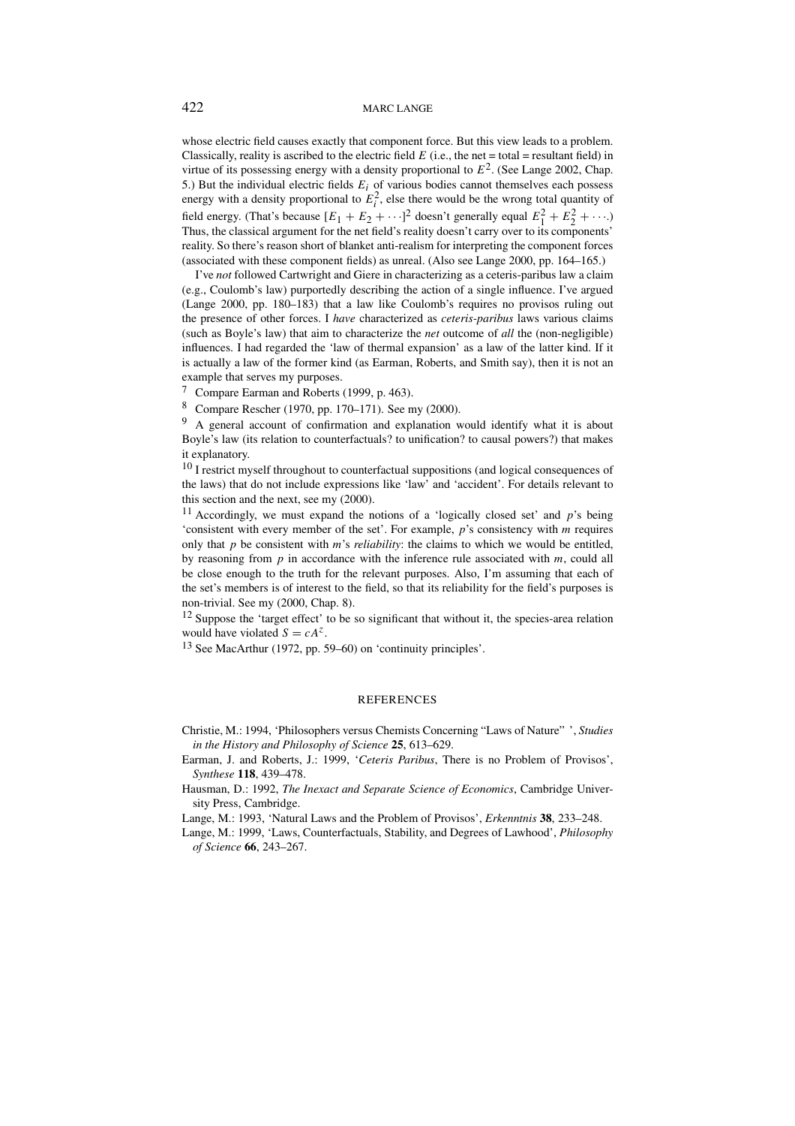whose electric field causes exactly that component force. But this view leads to a problem. Classically, reality is ascribed to the electric field  $E$  (i.e., the net = total = resultant field) in virtue of its possessing energy with a density proportional to  $E^2$ . (See Lange 2002, Chap. 5.) But the individual electric fields *Ei* of various bodies cannot themselves each possess energy with a density proportional to  $E_i^2$ , else there would be the wrong total quantity of field energy. (That's because  $[E_1 + E_2 + \cdots]^2$  doesn't generally equal  $E_1^2 + E_2^2 + \cdots$ .) Thus, the classical argument for the net field's reality doesn't carry over to its components' reality. So there's reason short of blanket anti-realism for interpreting the component forces (associated with these component fields) as unreal. (Also see Lange 2000, pp. 164–165.)

I've *not* followed Cartwright and Giere in characterizing as a ceteris-paribus law a claim (e.g., Coulomb's law) purportedly describing the action of a single influence. I've argued (Lange 2000, pp. 180–183) that a law like Coulomb's requires no provisos ruling out the presence of other forces. I *have* characterized as *ceteris-paribus* laws various claims (such as Boyle's law) that aim to characterize the *net* outcome of *all* the (non-negligible) influences. I had regarded the 'law of thermal expansion' as a law of the latter kind. If it is actually a law of the former kind (as Earman, Roberts, and Smith say), then it is not an example that serves my purposes.

<sup>7</sup> Compare Earman and Roberts (1999, p. 463).

<sup>8</sup> Compare Rescher (1970, pp. 170–171). See my (2000).

<sup>9</sup> A general account of confirmation and explanation would identify what it is about Boyle's law (its relation to counterfactuals? to unification? to causal powers?) that makes it explanatory.

<sup>10</sup> I restrict myself throughout to counterfactual suppositions (and logical consequences of the laws) that do not include expressions like 'law' and 'accident'. For details relevant to this section and the next, see my (2000).

<sup>11</sup> Accordingly, we must expand the notions of a 'logically closed set' and *p*'s being 'consistent with every member of the set'. For example, *p*'s consistency with *m* requires only that *p* be consistent with *m*'s *reliability*: the claims to which we would be entitled, by reasoning from  $p$  in accordance with the inference rule associated with  $m$ , could all be close enough to the truth for the relevant purposes. Also, I'm assuming that each of the set's members is of interest to the field, so that its reliability for the field's purposes is non-trivial. See my (2000, Chap. 8).

 $12$  Suppose the 'target effect' to be so significant that without it, the species-area relation would have violated  $S = cA^z$ .<br><sup>13</sup> See MacArthur (1972, pp. 59–60) on 'continuity principles'.

#### REFERENCES

Christie, M.: 1994, 'Philosophers versus Chemists Concerning "Laws of Nature" ', *Studies in the History and Philosophy of Science* **25**, 613–629.

Earman, J. and Roberts, J.: 1999, '*Ceteris Paribus*, There is no Problem of Provisos', *Synthese* **118**, 439–478.

Hausman, D.: 1992, *The Inexact and Separate Science of Economics*, Cambridge University Press, Cambridge.

Lange, M.: 1993, 'Natural Laws and the Problem of Provisos', *Erkenntnis* **38**, 233–248.

Lange, M.: 1999, 'Laws, Counterfactuals, Stability, and Degrees of Lawhood', *Philosophy of Science* **66**, 243–267.